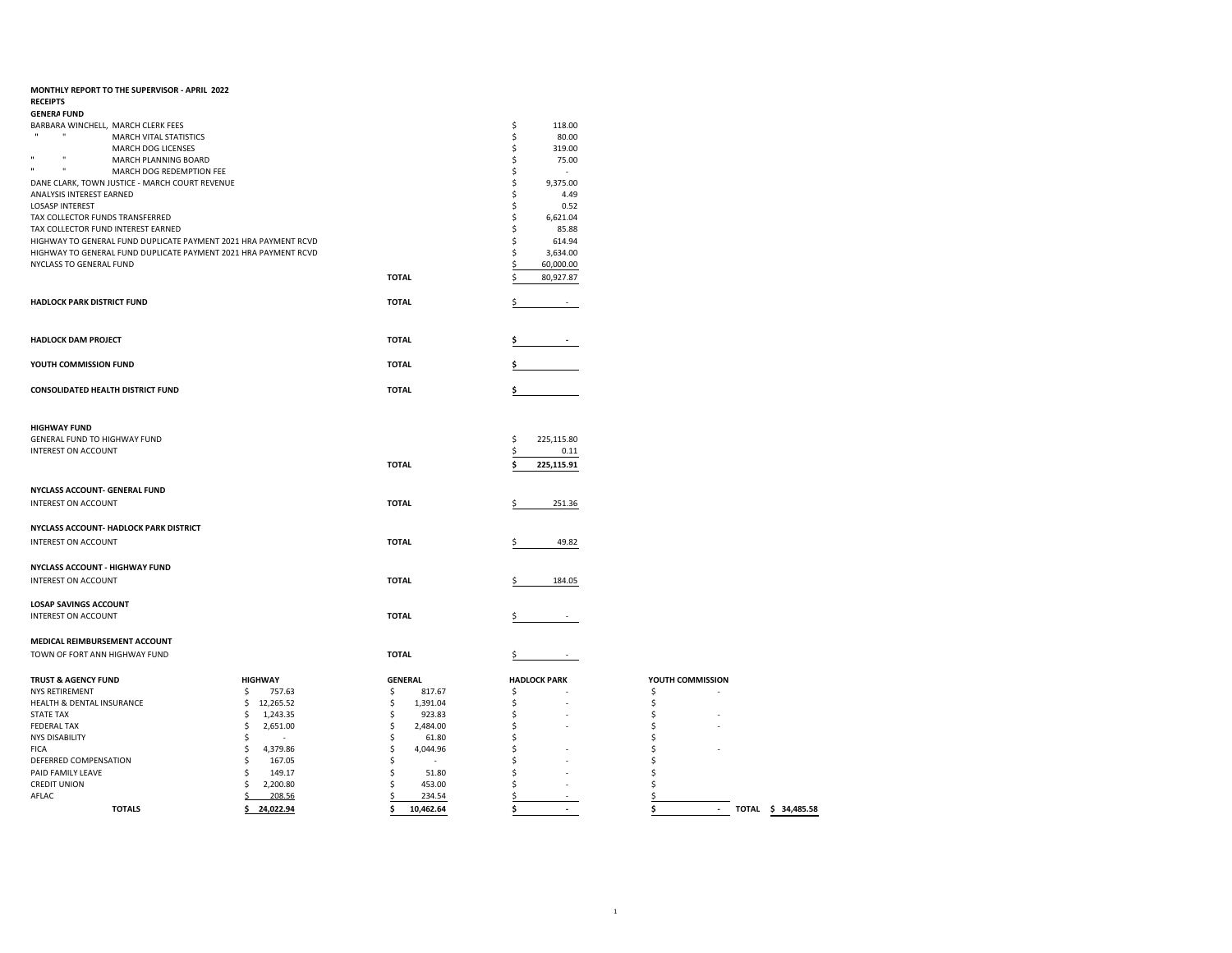| MONTHLY REPORT TO THE SUPERVISOR - APRIL 2022                        |                                 |                                 |                     |                                          |
|----------------------------------------------------------------------|---------------------------------|---------------------------------|---------------------|------------------------------------------|
| <b>RECEIPTS</b>                                                      |                                 |                                 |                     |                                          |
| <b>GENERA FUND</b>                                                   |                                 |                                 |                     |                                          |
| BARBARA WINCHELL, MARCH CLERK FEES                                   |                                 |                                 | \$<br>118.00        |                                          |
| $\mathbf{u}$<br>MARCH VITAL STATISTICS                               |                                 |                                 | \$<br>80.00         |                                          |
| MARCH DOG LICENSES                                                   |                                 |                                 | \$<br>319.00        |                                          |
| $\mathbf{u}$<br>$\mathbf{u}$<br>MARCH PLANNING BOARD<br>$\mathbf{u}$ |                                 |                                 | \$<br>75.00         |                                          |
| $\blacksquare$<br>MARCH DOG REDEMPTION FEE                           |                                 |                                 | \$                  |                                          |
| DANE CLARK, TOWN JUSTICE - MARCH COURT REVENUE                       |                                 |                                 | \$<br>9,375.00      |                                          |
| ANALYSIS INTEREST EARNED                                             |                                 |                                 | \$<br>4.49          |                                          |
| <b>LOSASP INTEREST</b>                                               |                                 |                                 | \$<br>0.52          |                                          |
| TAX COLLECTOR FUNDS TRANSFERRED                                      |                                 |                                 | \$<br>6,621.04      |                                          |
| TAX COLLECTOR FUND INTEREST EARNED                                   |                                 |                                 | \$<br>85.88         |                                          |
| HIGHWAY TO GENERAL FUND DUPLICATE PAYMENT 2021 HRA PAYMENT RCVD      |                                 |                                 | \$<br>614.94        |                                          |
| HIGHWAY TO GENERAL FUND DUPLICATE PAYMENT 2021 HRA PAYMENT RCVD      |                                 |                                 | \$<br>3,634.00      |                                          |
| NYCLASS TO GENERAL FUND                                              |                                 |                                 | \$<br>60,000.00     |                                          |
|                                                                      |                                 | <b>TOTAL</b>                    | 80,927.87<br>\$     |                                          |
|                                                                      |                                 |                                 |                     |                                          |
| HADLOCK PARK DISTRICT FUND                                           |                                 | <b>TOTAL</b>                    | \$                  |                                          |
|                                                                      |                                 |                                 |                     |                                          |
|                                                                      |                                 |                                 |                     |                                          |
| <b>HADLOCK DAM PROJECT</b>                                           |                                 | <b>TOTAL</b>                    |                     |                                          |
|                                                                      |                                 |                                 |                     |                                          |
| YOUTH COMMISSION FUND                                                |                                 | <b>TOTAL</b>                    |                     |                                          |
|                                                                      |                                 |                                 |                     |                                          |
| <b>CONSOLIDATED HEALTH DISTRICT FUND</b>                             |                                 | <b>TOTAL</b>                    | \$                  |                                          |
|                                                                      |                                 |                                 |                     |                                          |
|                                                                      |                                 |                                 |                     |                                          |
| <b>HIGHWAY FUND</b>                                                  |                                 |                                 |                     |                                          |
| GENERAL FUND TO HIGHWAY FUND                                         |                                 |                                 | \$<br>225,115.80    |                                          |
| INTEREST ON ACCOUNT                                                  |                                 |                                 | \$<br>0.11          |                                          |
|                                                                      |                                 | <b>TOTAL</b>                    | Ś<br>225,115.91     |                                          |
|                                                                      |                                 |                                 |                     |                                          |
|                                                                      |                                 |                                 |                     |                                          |
| NYCLASS ACCOUNT- GENERAL FUND                                        |                                 |                                 |                     |                                          |
| INTEREST ON ACCOUNT                                                  |                                 | <b>TOTAL</b>                    | Ś<br>251.36         |                                          |
|                                                                      |                                 |                                 |                     |                                          |
| NYCLASS ACCOUNT- HADLOCK PARK DISTRICT                               |                                 |                                 |                     |                                          |
| INTEREST ON ACCOUNT                                                  |                                 | <b>TOTAL</b>                    | Ś<br>49.82          |                                          |
|                                                                      |                                 |                                 |                     |                                          |
| <b>NYCLASS ACCOUNT - HIGHWAY FUND</b>                                |                                 |                                 |                     |                                          |
| <b>INTEREST ON ACCOUNT</b>                                           |                                 | <b>TOTAL</b>                    | 184.05<br>Ś         |                                          |
|                                                                      |                                 |                                 |                     |                                          |
| <b>LOSAP SAVINGS ACCOUNT</b>                                         |                                 |                                 |                     |                                          |
| INTEREST ON ACCOUNT                                                  |                                 | <b>TOTAL</b>                    | Ś                   |                                          |
|                                                                      |                                 |                                 |                     |                                          |
| MEDICAL REIMBURSEMENT ACCOUNT                                        |                                 |                                 |                     |                                          |
| TOWN OF FORT ANN HIGHWAY FUND                                        |                                 | <b>TOTAL</b>                    | \$                  |                                          |
|                                                                      |                                 |                                 |                     |                                          |
|                                                                      | <b>HIGHWAY</b>                  | <b>GENERAL</b>                  | <b>HADLOCK PARK</b> | YOUTH COMMISSION                         |
| <b>TRUST &amp; AGENCY FUND</b><br><b>NYS RETIREMENT</b>              | 757.63                          |                                 |                     |                                          |
| HEALTH & DENTAL INSURANCE                                            | \$<br>\$<br>12,265.52           | \$<br>817.67<br>\$<br>1,391.04  | \$<br>\$            | \$<br>\$                                 |
| <b>STATE TAX</b>                                                     | \$<br>1,243.35                  | \$<br>923.83                    | \$                  | \$                                       |
| <b>FEDERAL TAX</b>                                                   | \$<br>2,651.00                  | \$<br>2,484.00                  | \$                  | \$                                       |
| <b>NYS DISABILITY</b>                                                | \$                              | \$<br>61.80                     | \$                  | \$                                       |
| <b>FICA</b>                                                          | \$<br>4,379.86                  | \$<br>4,044.96                  | \$                  | \$                                       |
| DEFERRED COMPENSATION                                                | \$<br>167.05                    | \$                              | \$                  | Ś                                        |
| PAID FAMILY LEAVE                                                    | \$<br>149.17                    | \$<br>51.80                     | \$                  | Ś                                        |
|                                                                      |                                 |                                 |                     |                                          |
|                                                                      |                                 |                                 |                     |                                          |
| <b>CREDIT UNION</b>                                                  | \$<br>2,200.80                  | \$<br>453.00                    | \$                  | Ś                                        |
| AFLAC<br><b>TOTALS</b>                                               | 208.56<br>\$<br>24,022.94<br>\$ | \$<br>234.54<br>10,462.64<br>\$ | \$<br>\$            | \$<br>\$<br>TOTAL \$ 34,485.58<br>$\sim$ |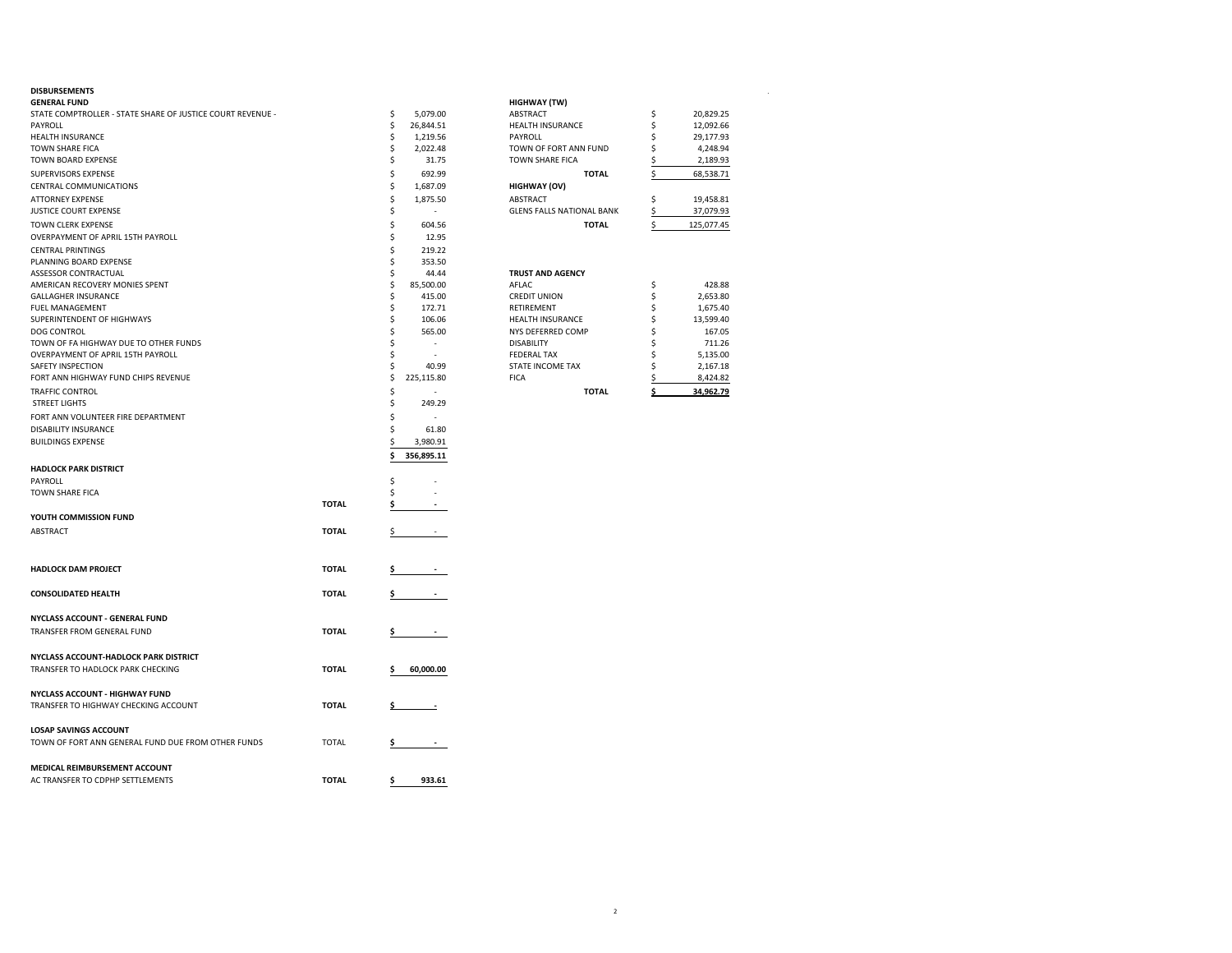| <b>DISBURSEMENTS</b>                                              |              |    |                          |                                  |    |            |
|-------------------------------------------------------------------|--------------|----|--------------------------|----------------------------------|----|------------|
| GENERAL FUND                                                      |              |    |                          | <b>HIGHWAY (TW)</b>              |    |            |
| STATE COMPTROLLER - STATE SHARE OF JUSTICE COURT REVENUE -        |              | \$ | 5,079.00                 | ABSTRACT                         | \$ | 20,829.25  |
| PAYROLL                                                           |              | \$ | 26,844.51                | HEALTH INSURANCE                 | \$ | 12,092.66  |
| HEALTH INSURANCE                                                  |              | \$ | 1,219.56                 | PAYROLL                          | \$ | 29,177.93  |
| TOWN SHARE FICA                                                   |              | \$ | 2,022.48                 | TOWN OF FORT ANN FUND            | \$ | 4,248.94   |
| TOWN BOARD EXPENSE                                                |              | \$ | 31.75                    | <b>TOWN SHARE FICA</b>           | \$ | 2,189.93   |
| SUPERVISORS EXPENSE                                               |              | \$ | 692.99                   | <b>TOTAL</b>                     | \$ | 68,538.71  |
| CENTRAL COMMUNICATIONS                                            |              | \$ | 1,687.09                 | <b>HIGHWAY (OV)</b>              |    |            |
| <b>ATTORNEY EXPENSE</b>                                           |              | \$ | 1,875.50                 | ABSTRACT                         | \$ | 19,458.81  |
| JUSTICE COURT EXPENSE                                             |              | \$ | $\sim$                   | <b>GLENS FALLS NATIONAL BANK</b> | \$ | 37,079.93  |
| TOWN CLERK EXPENSE                                                |              | \$ | 604.56                   | <b>TOTAL</b>                     | \$ | 125,077.45 |
| OVERPAYMENT OF APRIL 15TH PAYROLL                                 |              | \$ | 12.95                    |                                  |    |            |
| <b>CENTRAL PRINTINGS</b>                                          |              | Ś  | 219.22                   |                                  |    |            |
| PLANNING BOARD EXPENSE                                            |              | \$ | 353.50                   |                                  |    |            |
|                                                                   |              |    |                          |                                  |    |            |
| ASSESSOR CONTRACTUAL                                              |              | \$ | 44.44                    | <b>TRUST AND AGENCY</b>          |    |            |
| AMERICAN RECOVERY MONIES SPENT                                    |              | Ś  | 85,500.00                | AFLAC                            | \$ | 428.88     |
| GALLAGHER INSURANCE                                               |              | Ś  | 415.00                   | <b>CREDIT UNION</b>              | \$ | 2,653.80   |
| FUEL MANAGEMENT                                                   |              | \$ | 172.71                   | RETIREMENT                       | \$ | 1,675.40   |
| SUPERINTENDENT OF HIGHWAYS                                        |              | \$ | 106.06                   | <b>HEALTH INSURANCE</b>          | \$ | 13,599.40  |
| DOG CONTROL                                                       |              | Ś  | 565.00                   | NYS DEFERRED COMP                | \$ | 167.05     |
| TOWN OF FA HIGHWAY DUE TO OTHER FUNDS                             |              | Ŝ  |                          | <b>DISABILITY</b>                | Ś  | 711.26     |
| OVERPAYMENT OF APRIL 15TH PAYROLL                                 |              | Ś  | $\overline{\phantom{a}}$ | <b>FEDERAL TAX</b>               | Ś  | 5,135.00   |
| SAFETY INSPECTION                                                 |              | Ś  | 40.99                    | STATE INCOME TAX                 | Ś  | 2,167.18   |
| FORT ANN HIGHWAY FUND CHIPS REVENUE                               |              | \$ | 225,115.80               | <b>FICA</b>                      |    | 8,424.82   |
| TRAFFIC CONTROL                                                   |              | \$ | $\sim$                   | <b>TOTAL</b>                     | \$ | 34,962.79  |
| <b>STREET LIGHTS</b>                                              |              | \$ | 249.29                   |                                  |    |            |
| FORT ANN VOLUNTEER FIRE DEPARTMENT                                |              | Ś  |                          |                                  |    |            |
| DISABILITY INSURANCE                                              |              | Ś  | 61.80                    |                                  |    |            |
| <b>BUILDINGS EXPENSE</b>                                          |              | \$ | 3,980.91                 |                                  |    |            |
|                                                                   |              |    |                          |                                  |    |            |
|                                                                   |              | \$ | 356,895.11               |                                  |    |            |
| <b>HADLOCK PARK DISTRICT</b>                                      |              |    |                          |                                  |    |            |
| PAYROLL                                                           |              | \$ |                          |                                  |    |            |
| TOWN SHARE FICA                                                   |              | Ś  |                          |                                  |    |            |
|                                                                   | <b>TOTAL</b> | \$ |                          |                                  |    |            |
| YOUTH COMMISSION FUND                                             |              |    |                          |                                  |    |            |
| <b>ABSTRACT</b>                                                   | <b>TOTAL</b> | S  |                          |                                  |    |            |
| <b>HADLOCK DAM PROJECT</b>                                        | <b>TOTAL</b> |    |                          |                                  |    |            |
|                                                                   |              |    |                          |                                  |    |            |
| <b>CONSOLIDATED HEALTH</b>                                        | <b>TOTAL</b> |    |                          |                                  |    |            |
| NYCLASS ACCOUNT - GENERAL FUND                                    |              |    |                          |                                  |    |            |
| TRANSFER FROM GENERAL FUND                                        | <b>TOTAL</b> | \$ |                          |                                  |    |            |
| NYCLASS ACCOUNT-HADLOCK PARK DISTRICT                             |              |    |                          |                                  |    |            |
| TRANSFER TO HADLOCK PARK CHECKING                                 | <b>TOTAL</b> |    | 60,000.00                |                                  |    |            |
|                                                                   |              |    |                          |                                  |    |            |
| NYCLASS ACCOUNT - HIGHWAY FUND                                    |              |    |                          |                                  |    |            |
| TRANSFER TO HIGHWAY CHECKING ACCOUNT                              | <b>TOTAL</b> |    |                          |                                  |    |            |
|                                                                   |              |    |                          |                                  |    |            |
| <b>LOSAP SAVINGS ACCOUNT</b>                                      |              |    |                          |                                  |    |            |
| TOWN OF FORT ANN GENERAL FUND DUE FROM OTHER FUNDS                | <b>TOTAL</b> | \$ |                          |                                  |    |            |
|                                                                   |              |    |                          |                                  |    |            |
| MEDICAL REIMBURSEMENT ACCOUNT<br>AC TRANSFER TO CDPHP SETTLEMENTS | <b>TOTAL</b> | \$ | 933.61                   |                                  |    |            |
|                                                                   |              |    |                          |                                  |    |            |

| <b>HIGHWAY (TW)</b>              |    |            |
|----------------------------------|----|------------|
| <b>ABSTRACT</b>                  | \$ | 20,829.25  |
| <b>HEALTH INSURANCE</b>          | \$ | 12,092.66  |
| PAYROLL                          | \$ | 29,177.93  |
| TOWN OF FORT ANN FUND            | \$ | 4,248.94   |
| <b>TOWN SHARE FICA</b>           | \$ | 2,189.93   |
| <b>TOTAL</b>                     | \$ | 68,538.71  |
| <b>HIGHWAY (OV)</b>              |    |            |
| <b>ABSTRACT</b>                  | \$ | 19,458.81  |
| <b>GLENS FALLS NATIONAL BANK</b> | \$ | 37,079.93  |
| <b>TOTAL</b>                     | \$ | 125,077.45 |
|                                  |    |            |
|                                  |    |            |
| <b>TRUST AND AGENCY</b>          |    |            |
| AFLAC.                           | \$ | 428.88     |
| <b>CREDIT UNION</b>              | \$ | 2,653.80   |
| <b>RETIREMENT</b>                | \$ | 1,675.40   |
| <b>HEALTH INSURANCE</b>          | \$ | 13,599.40  |
| LIVE BEEFBBER COLAR              | ▴  | 10700      |

| ALTH INSURANCE         |   | 13.59 |
|------------------------|---|-------|
| <b>S DEFERRED COMP</b> | Ŝ | 16    |
| ABILITY                | Ŝ | 71    |
| <b>ERAL TAX</b>        | Ŝ | 5.13  |
| <b>TE INCOME TAX</b>   | Ŝ | 2.16  |
| А                      |   | 8.42  |
|                        |   |       |